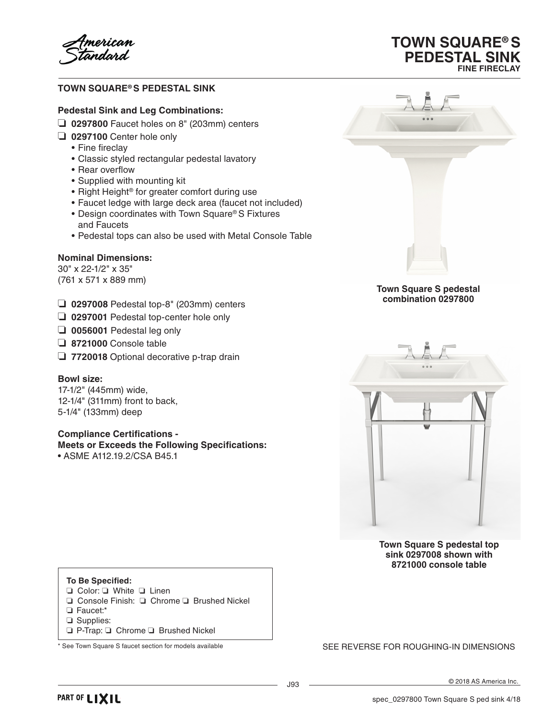fmerican<br>*t*andard

# **TOWN SQUARE® S PEDESTAL SINK**

#### **Pedestal Sink and Leg Combinations:**

- ❏ **0297800** Faucet holes on 8" (203mm) centers
- ❏ **0297100** Center hole only
	- Fine fireclay
	- • Classic styled rectangular pedestal lavatory
	- Rear overflow
	- • Supplied with mounting kit
	- Right Height® for greater comfort during use
	- • Faucet ledge with large deck area (faucet not included)
	- Design coordinates with Town Square® S Fixtures and Faucets
	- • Pedestal tops can also be used with Metal Console Table

## **Nominal Dimensions:**

30" x 22-1/2" x 35" (761 x 571 x 889 mm)

- ❏ **0297008** Pedestal top-8" (203mm) centers
- ❏ **0297001** Pedestal top-center hole only
- ❏ **0056001** Pedestal leg only
- ❏ **8721000** Console table
- ❏ **7720018** Optional decorative p-trap drain

### **Bowl size:**

17-1/2" (445mm) wide, 12-1/4" (311mm) front to back, 5-1/4" (133mm) deep

## **Compliance Certifications -**

**Meets or Exceeds the Following Specifications:** • ASME A112.19.2/CSA B45.1



**TOWN SQUARE® S PEDESTAL SINK**

**FINE FIRECLAY**

#### **Town Square S pedestal combination 0297800**



**Town Square S pedestal top sink 0297008 shown with 8721000 console table**

## **To Be Specified:**

- ❏ Color: ❏ White ❏ Linen
- ❏ Console Finish: ❏ Chrome ❏ Brushed Nickel
- ❏ Faucet:\*
- ❏ Supplies:
- ❏ P-Trap: ❏ Chrome ❏ Brushed Nickel

### \* See Town Square S faucet section for models available Section Section SEE REVERSE FOR ROUGHING-IN DIMENSIONS